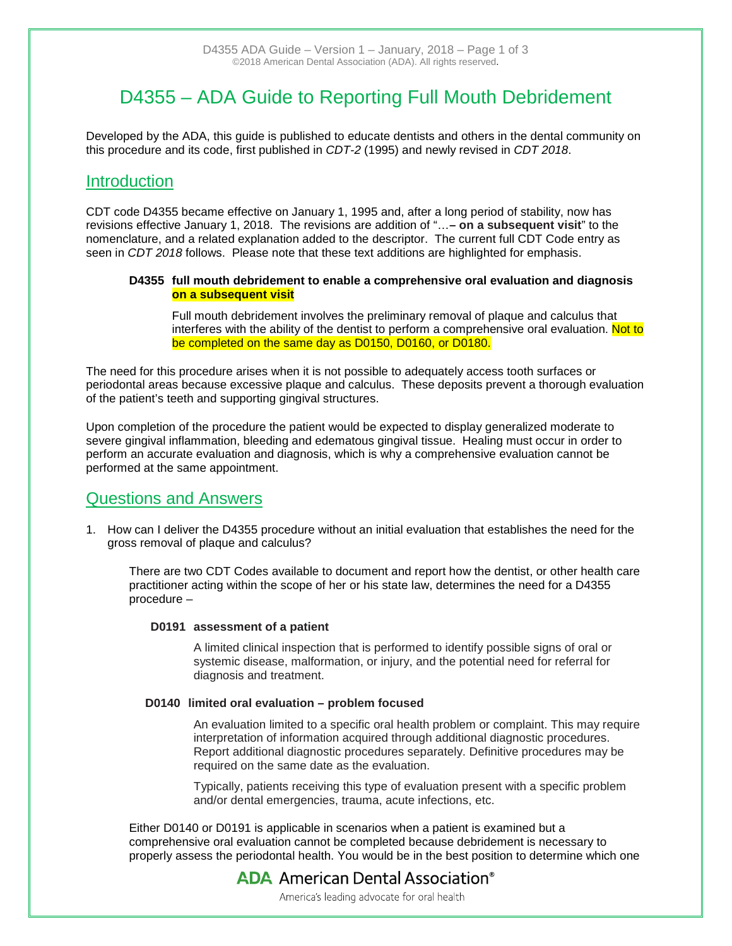# D4355 – ADA Guide to Reporting Full Mouth Debridement

Developed by the ADA, this guide is published to educate dentists and others in the dental community on this procedure and its code, first published in *CDT-2* (1995) and newly revised in *CDT 2018*.

## **Introduction**

CDT code D4355 became effective on January 1, 1995 and, after a long period of stability, now has revisions effective January 1, 2018. The revisions are addition of "…**– on a subsequent visit**" to the nomenclature, and a related explanation added to the descriptor. The current full CDT Code entry as seen in *CDT 2018* follows. Please note that these text additions are highlighted for emphasis.

#### **D4355 full mouth debridement to enable a comprehensive oral evaluation and diagnosis on a subsequent visit**

Full mouth debridement involves the preliminary removal of plaque and calculus that interferes with the ability of the dentist to perform a comprehensive oral evaluation. Not to be completed on the same day as [D0150,](http://www.practicebooster.com/codedisplay.asp?id=474) [D0160,](http://www.practicebooster.com/codedisplay.asp?id=475) or [D0180.](http://www.practicebooster.com/codedisplay.asp?id=478)

The need for this procedure arises when it is not possible to adequately access tooth surfaces or periodontal areas because excessive plaque and calculus. These deposits prevent a thorough evaluation of the patient's teeth and supporting gingival structures.

Upon completion of the procedure the patient would be expected to display generalized moderate to severe gingival inflammation, bleeding and edematous gingival tissue. Healing must occur in order to perform an accurate evaluation and diagnosis, which is why a comprehensive evaluation cannot be performed at the same appointment.

### Questions and Answers

1. How can I deliver the D4355 procedure without an initial evaluation that establishes the need for the gross removal of plaque and calculus?

There are two CDT Codes available to document and report how the dentist, or other health care practitioner acting within the scope of her or his state law, determines the need for a D4355 procedure –

#### **D0191 assessment of a patient**

A limited clinical inspection that is performed to identify possible signs of oral or systemic disease, malformation, or injury, and the potential need for referral for diagnosis and treatment.

#### **D0140 limited oral evaluation – problem focused**

An evaluation limited to a specific oral health problem or complaint. This may require interpretation of information acquired through additional diagnostic procedures. Report additional diagnostic procedures separately. Definitive procedures may be required on the same date as the evaluation.

Typically, patients receiving this type of evaluation present with a specific problem and/or dental emergencies, trauma, acute infections, etc.

Either D0140 or D0191 is applicable in scenarios when a patient is examined but a comprehensive oral evaluation cannot be completed because debridement is necessary to properly assess the periodontal health. You would be in the best position to determine which one

## **ADA** American Dental Association<sup>®</sup>

America's leading advocate for oral health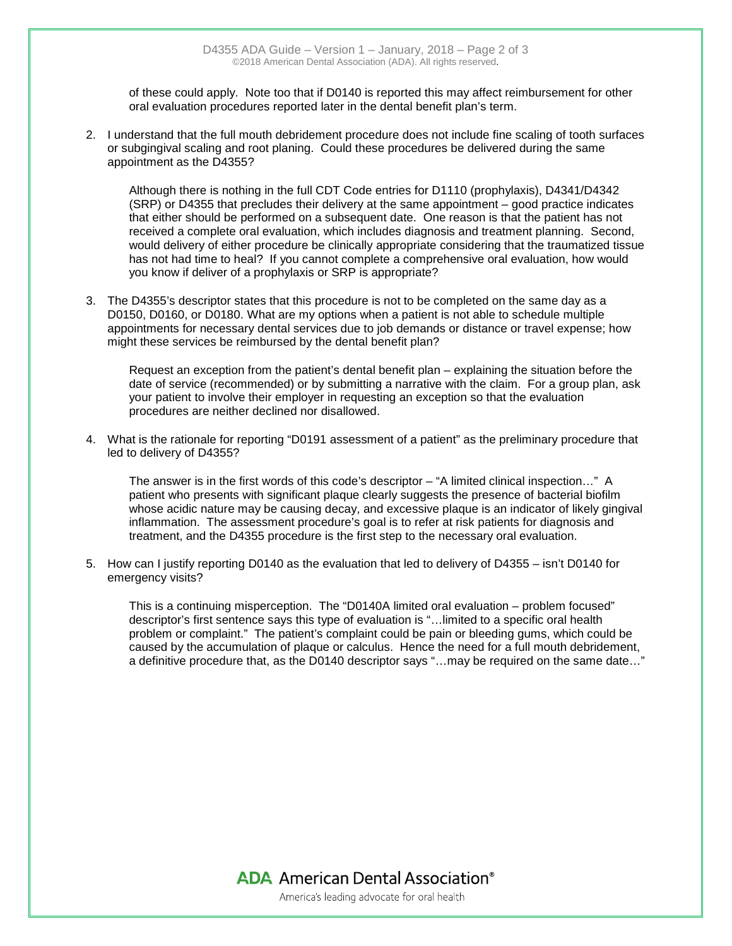of these could apply. Note too that if D0140 is reported this may affect reimbursement for other oral evaluation procedures reported later in the dental benefit plan's term.

2. I understand that the full mouth debridement procedure does not include fine scaling of tooth surfaces or subgingival scaling and root planing. Could these procedures be delivered during the same appointment as the D4355?

Although there is nothing in the full CDT Code entries for D1110 (prophylaxis), D4341/D4342 (SRP) or D4355 that precludes their delivery at the same appointment – good practice indicates that either should be performed on a subsequent date. One reason is that the patient has not received a complete oral evaluation, which includes diagnosis and treatment planning. Second, would delivery of either procedure be clinically appropriate considering that the traumatized tissue has not had time to heal? If you cannot complete a comprehensive oral evaluation, how would you know if deliver of a prophylaxis or SRP is appropriate?

3. The D4355's descriptor states that this procedure is not to be completed on the same day as a D0150, D0160, or D0180. What are my options when a patient is not able to schedule multiple appointments for necessary dental services due to job demands or distance or travel expense; how might these services be reimbursed by the dental benefit plan?

Request an exception from the patient's dental benefit plan – explaining the situation before the date of service (recommended) or by submitting a narrative with the claim. For a group plan, ask your patient to involve their employer in requesting an exception so that the evaluation procedures are neither declined nor disallowed.

4. What is the rationale for reporting "D0191 assessment of a patient" as the preliminary procedure that led to delivery of D4355?

The answer is in the first words of this code's descriptor – "A limited clinical inspection…" A patient who presents with significant plaque clearly suggests the presence of bacterial biofilm whose acidic nature may be causing decay, and excessive plaque is an indicator of likely gingival inflammation. The assessment procedure's goal is to refer at risk patients for diagnosis and treatment, and the D4355 procedure is the first step to the necessary oral evaluation.

5. How can I justify reporting D0140 as the evaluation that led to delivery of D4355 – isn't D0140 for emergency visits?

This is a continuing misperception. The "D0140A limited oral evaluation – problem focused" descriptor's first sentence says this type of evaluation is "…limited to a specific oral health problem or complaint." The patient's complaint could be pain or bleeding gums, which could be caused by the accumulation of plaque or calculus. Hence the need for a full mouth debridement, a definitive procedure that, as the D0140 descriptor says "…may be required on the same date…"